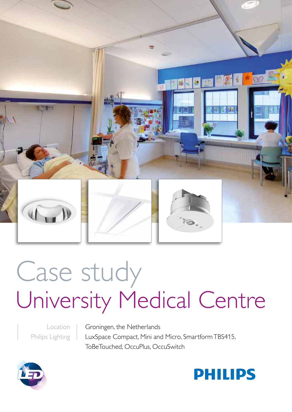

# Case study University Medical Centre

Location Philips Lighting Groningen, the Netherlands LuxSpace Compact, Mini and Micro, Smartform TBS415, ToBeTouched, OccuPlus, OccuSwitch



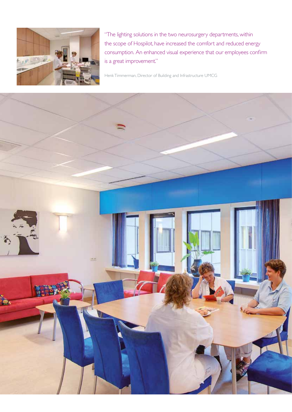

"The lighting solutions in the two neurosurgery departments, within the scope of Hospilot, have increased the comfort and reduced energy consumption. An enhanced visual experience that our employees confirm is a great improvement."

Henk Timmerman, Director of Building and Infrastructure UMCG

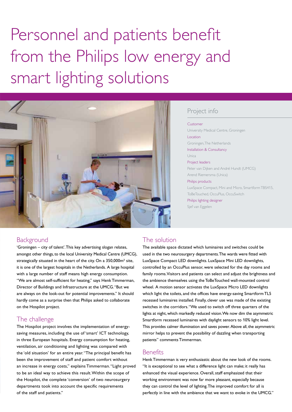## Personnel and patients benefit from the Philips low energy and smart lighting solutions



### Project info

#### Customer

University Medical Centre, Groningen Location Groningen, The Netherlands Installation & Consultancy Unica Project leaders Peter van Dijken and André Hundt (UMCG) Arend Riemersma (Unica) Philips products LuxSpace Compact, Mini and Micro, Smartform TBS415, ToBeTouched, OccuPlus, OccuSwitch Philips lighting designer Sjef van Eggelen

#### **Background**

'Groningen – city of talent'. This key advertising slogan relates, amongst other things, to the local University Medical Centre (UMCG), strategically situated in the heart of the city. On a 350,000m² site, it is one of the largest hospitals in the Netherlands. A large hospital with a large number of staff means high energy consumption. "We are almost self-sufficient for heating," says Henk Timmerman, Director of Buildings and Infrastructure at the UMCG. "But we are always on the look-out for potential improvements." It should hardly come as a surprise then that Philips asked to collaborate on the Hospilot project.

#### The challenge

The Hospilot project involves the implementation of energysaving measures, including the use of 'smart' ICT technology, in three European hospitals. Energy consumption for heating, ventilation, air conditioning and lighting was compared with the 'old situation' for an entire year. "The principal benefit has been the improvement of staff and patient comfort without an increase in energy costs," explains Timmerman. "Light proved to be an ideal way to achieve this result. Within the scope of the Hospilot, the complete 'conversion' of two neurosurgery departments took into account the specific requirements of the staff and patients."

#### The solution

The available space dictated which luminaires and switches could be used in the two neurosurgery departments. The wards were fitted with LuxSpace Compact LED downlights. LuxSpace Mini LED downlights, controlled by an OccuPlus sensor, were selected for the day rooms and family rooms. Visitors and patients can select and adjust the brightness and the ambience themselves using the ToBeTouched wall-mounted control wheel. A motion sensor activates the LuxSpace Micro LED downlights which light the toilets, and the offices have energy-saving Smartform TL5 recessed luminaires installed. Finally, clever use was made of the existing switches in the corridors. "We used to switch off three quarters of the lights at night, which markedly reduced vision. We now dim the asymmetric Smartform recessed luminaires with daylight sensors to 10% light level. This provides calmer illumination and saves power. Above all, the asymmetric mirror helps to prevent the possibility of dazzling when transporting patients" comments Timmerman.

#### **Benefits**

Henk Timmerman is very enthusiastic about the new look of the rooms. "It is exceptional to see what a difference light can make; it really has enhanced the visual experience. Overall, staff emphasized that their working environment was now far more pleasant, especially because they can control the level of lighting. The improved comfort for all is perfectly in line with the ambience that we want to evoke in the UMCG."